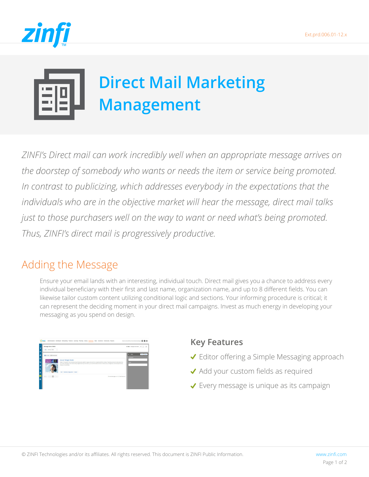

# **Direct Mail Marketing Management**

*ZINFI's Direct mail can work incredibly well when an appropriate message arrives on the doorstep of somebody who wants or needs the item or service being promoted.*  In contrast to publicizing, which addresses everybody in the expectations that the *individuals who are in the objective market will hear the message, direct mail talks just to those purchasers well on the way to want or need what's being promoted. Thus, ZINFI's direct mail is progressively productive.*

## Adding the Message

Ensure your email lands with an interesting, individual touch. Direct mail gives you a chance to address every individual beneficiary with their first and last name, organization name, and up to 8 different fields. You can likewise tailor custom content utilizing conditional logic and sections. Your informing procedure is critical; it can represent the deciding moment in your direct mail campaigns. Invest as much energy in developing your messaging as you spend on design.

| <b>Manage Direct Mails</b><br>And Sottly Select - 0                                                                                                     |                                                                                                                                                                                          | * Belk / Manage Drest Mads   #   22   19 |            |
|---------------------------------------------------------------------------------------------------------------------------------------------------------|------------------------------------------------------------------------------------------------------------------------------------------------------------------------------------------|------------------------------------------|------------|
|                                                                                                                                                         |                                                                                                                                                                                          |                                          |            |
| ELISTING IS from Year.                                                                                                                                  |                                                                                                                                                                                          | X Filter                                 | Onar Apply |
|                                                                                                                                                         |                                                                                                                                                                                          | Compagns                                 |            |
| 2020                                                                                                                                                    | Server Widget Mailer<br>Modern IT is hidrid IT. Your emanprise has infrastructure, pletforms, apps, and tools from consideraly different yerdom. Proprietary tools port seek advice from | <b>Same</b>                              |            |
|                                                                                                                                                         | and another, and again cross clouds stowly weighed down by information, you equip the advancements in infrastructure, management, and development that<br>bring your clouds along        |                                          |            |
|                                                                                                                                                         |                                                                                                                                                                                          |                                          |            |
|                                                                                                                                                         | ERE VIGENS Configuration Deter                                                                                                                                                           |                                          |            |
|                                                                                                                                                         |                                                                                                                                                                                          |                                          |            |
| $\overline{\mathbf{Q}} + \left[ -\epsilon \mathbf{u} \right] \times \left[ \frac{\mathbf{q}}{\mathbf{M}} \right] + \left[ -\epsilon \mathbf{u} \right]$ | (The selected page no: 1/1   Total Resoult)                                                                                                                                              |                                          |            |
|                                                                                                                                                         |                                                                                                                                                                                          |                                          |            |

## **Key Features**

- Editor offering a Simple Messaging approach
- ◆ Add your custom fields as required
- ◆ Every message is unique as its campaign